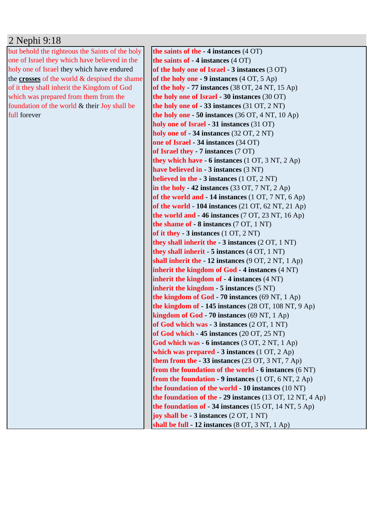## 2 Nephi 9:18

but behold the righteous the Saints of the holy one of Israel they which have believed in the holy one of Israel they which have endured the **crosses** of the world & despised the shame of it they shall inherit the Kingdom of God which was prepared from them from the foundation of the world & their Joy shall be full forever

**the saints of the - 4 instances** (4 OT) **the saints of - 4 instances** (4 OT) **of the holy one of Israel - 3 instances** (3 OT) **of the holy one - 9 instances** (4 OT, 5 Ap) **of the holy - 77 instances** (38 OT, 24 NT, 15 Ap) **the holy one of Israel - 30 instances** (30 OT) **the holy one of - 33 instances** (31 OT, 2 NT) **the holy one - 50 instances** (36 OT, 4 NT, 10 Ap) **holy one of Israel - 31 instances** (31 OT) **holy one of - 34 instances** (32 OT, 2 NT) **one of Israel - 34 instances** (34 OT) **of Israel they - 7 instances** (7 OT) **they which have - 6 instances** (1 OT, 3 NT, 2 Ap) **have believed in - 3 instances** (3 NT) **believed in the - 3 instances** (1 OT, 2 NT) **in the holy - 42 instances** (33 OT, 7 NT, 2 Ap) **of the world and - 14 instances** (1 OT, 7 NT, 6 Ap) **of the world - 104 instances** (21 OT, 62 NT, 21 Ap) **the world and - 46 instances** (7 OT, 23 NT, 16 Ap) **the shame of - 8 instances** (7 OT, 1 NT) **of it they - 3 instances** (1 OT, 2 NT) **they shall inherit the - 3 instances** (2 OT, 1 NT) **they shall inherit - 5 instances** (4 OT, 1 NT) **shall inherit the - 12 instances** (9 OT, 2 NT, 1 Ap) **inherit the kingdom of God - 4 instances** (4 NT) **inherit the kingdom of - 4 instances** (4 NT) **inherit the kingdom - 5 instances** (5 NT) **the kingdom of God - 70 instances** (69 NT, 1 Ap) **the kingdom of - 145 instances** (28 OT, 108 NT, 9 Ap) **kingdom of God - 70 instances** (69 NT, 1 Ap) **of God which was - 3 instances** (2 OT, 1 NT) **of God which - 45 instances** (20 OT, 25 NT) **God which was - 6 instances** (3 OT, 2 NT, 1 Ap) **which was prepared - 3 instances** (1 OT, 2 Ap) **them from the - 33 instances** (23 OT, 3 NT, 7 Ap) **from the foundation of the world - 6 instances** (6 NT) **from the foundation - 9 instances** (1 OT, 6 NT, 2 Ap) **the foundation of the world - 10 instances** (10 NT) **the foundation of the - 29 instances** (13 OT, 12 NT, 4 Ap) **the foundation of - 34 instances** (15 OT, 14 NT, 5 Ap) **joy shall be - 3 instances** (2 OT, 1 NT) **shall be full - 12 instances** (8 OT, 3 NT, 1 Ap)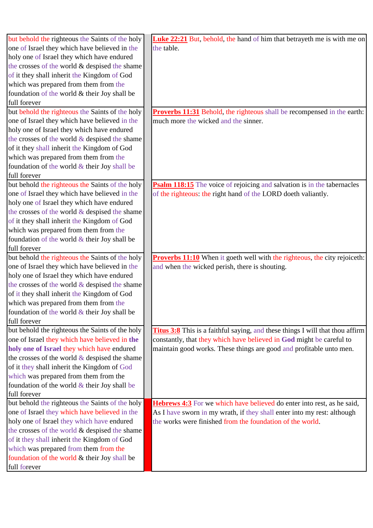| but behold the righteous the Saints of the holy  | <b>Luke 22:21</b> But, behold, the hand of him that betrayeth me is with me on       |
|--------------------------------------------------|--------------------------------------------------------------------------------------|
| one of Israel they which have believed in the    | the table.                                                                           |
| holy one of Israel they which have endured       |                                                                                      |
| the crosses of the world & despised the shame    |                                                                                      |
| of it they shall inherit the Kingdom of God      |                                                                                      |
| which was prepared from them from the            |                                                                                      |
| foundation of the world & their Joy shall be     |                                                                                      |
| full forever                                     |                                                                                      |
| but behold the righteous the Saints of the holy  | <b>Proverbs 11:31</b> Behold, the righteous shall be recompensed in the earth:       |
| one of Israel they which have believed in the    | much more the wicked and the sinner.                                                 |
| holy one of Israel they which have endured       |                                                                                      |
| the crosses of the world $&$ despised the shame  |                                                                                      |
| of it they shall inherit the Kingdom of God      |                                                                                      |
| which was prepared from them from the            |                                                                                      |
| foundation of the world & their Joy shall be     |                                                                                      |
| full forever                                     |                                                                                      |
| but behold the righteous the Saints of the holy  | Psalm 118:15 The voice of rejoicing and salvation is in the tabernacles              |
| one of Israel they which have believed in the    | of the righteous: the right hand of the LORD doeth valiantly.                        |
| holy one of Israel they which have endured       |                                                                                      |
| the crosses of the world & despised the shame    |                                                                                      |
| of it they shall inherit the Kingdom of God      |                                                                                      |
| which was prepared from them from the            |                                                                                      |
| foundation of the world $&$ their Joy shall be   |                                                                                      |
| full forever                                     |                                                                                      |
| but behold the righteous the Saints of the holy  | <b>Proverbs 11:10</b> When it goeth well with the righteous, the city rejoiceth:     |
| one of Israel they which have believed in the    | and when the wicked perish, there is shouting.                                       |
| holy one of Israel they which have endured       |                                                                                      |
| the crosses of the world & despised the shame    |                                                                                      |
| of it they shall inherit the Kingdom of God      |                                                                                      |
| which was prepared from them from the            |                                                                                      |
| foundation of the world $\&$ their Joy shall be  |                                                                                      |
| full forever                                     |                                                                                      |
| but behold the righteous the Saints of the holy  | <b>Titus 3:8</b> This is a faithful saying, and these things I will that thou affirm |
| one of Israel they which have believed in the    | constantly, that they which have believed in God might be careful to                 |
| holy one of Israel they which have endured       | maintain good works. These things are good and profitable unto men.                  |
| the crosses of the world $\&$ despised the shame |                                                                                      |
| of it they shall inherit the Kingdom of God      |                                                                                      |
| which was prepared from them from the            |                                                                                      |
| foundation of the world $&$ their Joy shall be   |                                                                                      |
| full forever                                     |                                                                                      |
| but behold the righteous the Saints of the holy  | <b>Hebrews 4:3</b> For we which have believed do enter into rest, as he said,        |
| one of Israel they which have believed in the    | As I have sworn in my wrath, if they shall enter into my rest: although              |
| holy one of Israel they which have endured       | the works were finished from the foundation of the world.                            |
| the crosses of the world & despised the shame    |                                                                                      |
| of it they shall inherit the Kingdom of God      |                                                                                      |
| which was prepared from them from the            |                                                                                      |
| foundation of the world & their Joy shall be     |                                                                                      |
| full forever                                     |                                                                                      |
|                                                  |                                                                                      |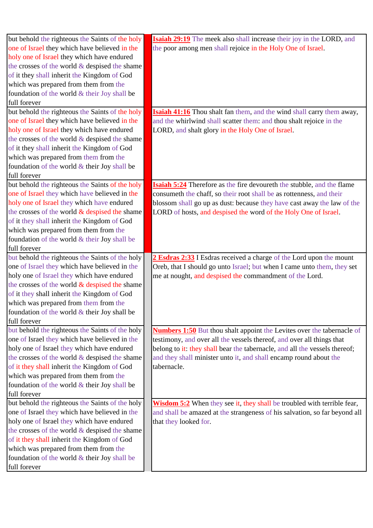| but behold the righteous the Saints of the holy                                           | <b>Isaiah 29:19</b> The meek also shall increase their joy in the LORD, and    |
|-------------------------------------------------------------------------------------------|--------------------------------------------------------------------------------|
| one of Israel they which have believed in the                                             | the poor among men shall rejoice in the Holy One of Israel.                    |
| holy one of Israel they which have endured                                                |                                                                                |
| the crosses of the world & despised the shame                                             |                                                                                |
| of it they shall inherit the Kingdom of God                                               |                                                                                |
| which was prepared from them from the                                                     |                                                                                |
| foundation of the world & their Joy shall be                                              |                                                                                |
| full forever                                                                              |                                                                                |
| but behold the righteous the Saints of the holy                                           | <b>Isaiah 41:16</b> Thou shalt fan them, and the wind shall carry them away,   |
| one of Israel they which have believed in the                                             | and the whirlwind shall scatter them: and thou shalt rejoice in the            |
| holy one of Israel they which have endured                                                | LORD, and shalt glory in the Holy One of Israel.                               |
| the crosses of the world $&$ despised the shame                                           |                                                                                |
| of it they shall inherit the Kingdom of God                                               |                                                                                |
| which was prepared from them from the                                                     |                                                                                |
| foundation of the world & their Joy shall be                                              |                                                                                |
| full forever                                                                              |                                                                                |
| but behold the righteous the Saints of the holy                                           | <b>Isaiah 5:24</b> Therefore as the fire devoureth the stubble, and the flame  |
| one of Israel they which have believed in the                                             | consumeth the chaff, so their root shall be as rottenness, and their           |
| holy one of Israel they which have endured                                                | blossom shall go up as dust: because they have cast away the law of the        |
| the crosses of the world $&$ despised the shame                                           | LORD of hosts, and despised the word of the Holy One of Israel.                |
| of it they shall inherit the Kingdom of God                                               |                                                                                |
| which was prepared from them from the                                                     |                                                                                |
| foundation of the world & their Joy shall be                                              |                                                                                |
| full forever                                                                              |                                                                                |
| but behold the righteous the Saints of the holy                                           | 2 Esdras 2:33 I Esdras received a charge of the Lord upon the mount            |
| one of Israel they which have believed in the                                             | Oreb, that I should go unto Israel; but when I came unto them, they set        |
| holy one of Israel they which have endured                                                | me at nought, and despised the commandment of the Lord.                        |
| the crosses of the world $&$ despised the shame                                           |                                                                                |
| of it they shall inherit the Kingdom of God                                               |                                                                                |
| which was prepared from them from the                                                     |                                                                                |
| foundation of the world $&$ their Joy shall be                                            |                                                                                |
| full forever                                                                              |                                                                                |
| but behold the righteous the Saints of the holy                                           | <b>Numbers 1:50</b> But thou shalt appoint the Levites over the tabernacle of  |
| one of Israel they which have believed in the                                             | testimony, and over all the vessels thereof, and over all things that          |
| holy one of Israel they which have endured                                                | belong to it: they shall bear the tabernacle, and all the vessels thereof;     |
| the crosses of the world $&$ despised the shame                                           |                                                                                |
|                                                                                           |                                                                                |
|                                                                                           | and they shall minister unto it, and shall encamp round about the              |
| of it they shall inherit the Kingdom of God                                               | tabernacle.                                                                    |
| which was prepared from them from the                                                     |                                                                                |
| foundation of the world & their Joy shall be                                              |                                                                                |
| full forever                                                                              |                                                                                |
| but behold the righteous the Saints of the holy                                           | <b>Wisdom 5:2</b> When they see it, they shall be troubled with terrible fear, |
| one of Israel they which have believed in the                                             | and shall be amazed at the strangeness of his salvation, so far beyond all     |
|                                                                                           | that they looked for.                                                          |
| the crosses of the world $\&$ despised the shame                                          |                                                                                |
| holy one of Israel they which have endured<br>of it they shall inherit the Kingdom of God |                                                                                |
| which was prepared from them from the                                                     |                                                                                |
| foundation of the world & their Joy shall be<br>full forever                              |                                                                                |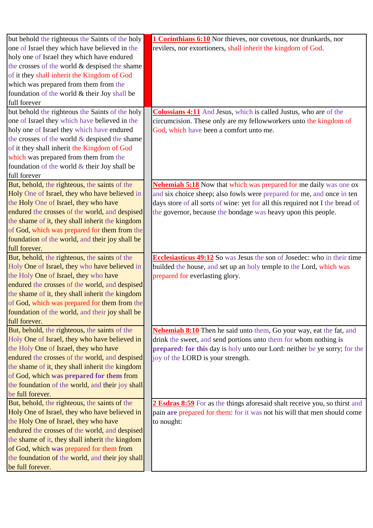| but behold the righteous the Saints of the holy  | <b>1 Corinthians 6:10</b> Nor thieves, nor covetous, nor drunkards, nor        |
|--------------------------------------------------|--------------------------------------------------------------------------------|
| one of Israel they which have believed in the    | revilers, nor extortioners, shall inherit the kingdom of God.                  |
| holy one of Israel they which have endured       |                                                                                |
| the crosses of the world & despised the shame    |                                                                                |
| of it they shall inherit the Kingdom of God      |                                                                                |
| which was prepared from them from the            |                                                                                |
| foundation of the world & their Joy shall be     |                                                                                |
| full forever                                     |                                                                                |
| but behold the righteous the Saints of the holy  | <b>Colossians 4:11</b> And Jesus, which is called Justus, who are of the       |
| one of Israel they which have believed in the    | circumcision. These only are my fellowworkers unto the kingdom of              |
| holy one of Israel they which have endured       | God, which have been a comfort unto me.                                        |
| the crosses of the world $&$ despised the shame  |                                                                                |
| of it they shall inherit the Kingdom of God      |                                                                                |
| which was prepared from them from the            |                                                                                |
| foundation of the world & their Joy shall be     |                                                                                |
| full forever                                     |                                                                                |
| But, behold, the righteous, the saints of the    | <b>Nehemiah 5:18</b> Now that which was prepared for me daily was one ox       |
| Holy One of Israel, they who have believed in    | and six choice sheep; also fowls were prepared for me, and once in ten         |
| the Holy One of Israel, they who have            | days store of all sorts of wine: yet for all this required not I the bread of  |
| endured the crosses of the world, and despised   | the governor, because the bondage was heavy upon this people.                  |
| the shame of it, they shall inherit the kingdom  |                                                                                |
| of God, which was prepared for them from the     |                                                                                |
| foundation of the world, and their joy shall be  |                                                                                |
| full forever.                                    |                                                                                |
| But, behold, the righteous, the saints of the    | <b>Ecclesiasticus 49:12</b> So was Jesus the son of Josedec: who in their time |
| Holy One of Israel, they who have believed in    | builded the house, and set up an holy temple to the Lord, which was            |
| the Holy One of Israel, they who have            | prepared for everlasting glory.                                                |
| endured the crosses of the world, and despised   |                                                                                |
| the shame of it, they shall inherit the kingdom  |                                                                                |
| of God, which was prepared for them from the     |                                                                                |
| foundation of the world, and their joy shall be  |                                                                                |
| full forever.                                    |                                                                                |
| But, behold, the righteous, the saints of the    | Nehemiah 8:10 Then he said unto them, Go your way, eat the fat, and            |
| Holy One of Israel, they who have believed in    | drink the sweet, and send portions unto them for whom nothing is               |
| the Holy One of Israel, they who have            | prepared: for this day is holy unto our Lord: neither be ye sorry; for the     |
| endured the crosses of the world, and despised   | joy of the LORD is your strength.                                              |
| the shame of it, they shall inherit the kingdom  |                                                                                |
| of God, which was prepared for them from         |                                                                                |
| the foundation of the world, and their joy shall |                                                                                |
| be full forever.                                 |                                                                                |
| But, behold, the righteous, the saints of the    | 2 Esdras 8:59 For as the things aforesaid shalt receive you, so thirst and     |
| Holy One of Israel, they who have believed in    | pain are prepared for them: for it was not his will that men should come       |
| the Holy One of Israel, they who have            | to nought:                                                                     |
| endured the crosses of the world, and despised   |                                                                                |
| the shame of it, they shall inherit the kingdom  |                                                                                |
| of God, which was prepared for them from         |                                                                                |
| the foundation of the world, and their joy shall |                                                                                |
| be full forever.                                 |                                                                                |